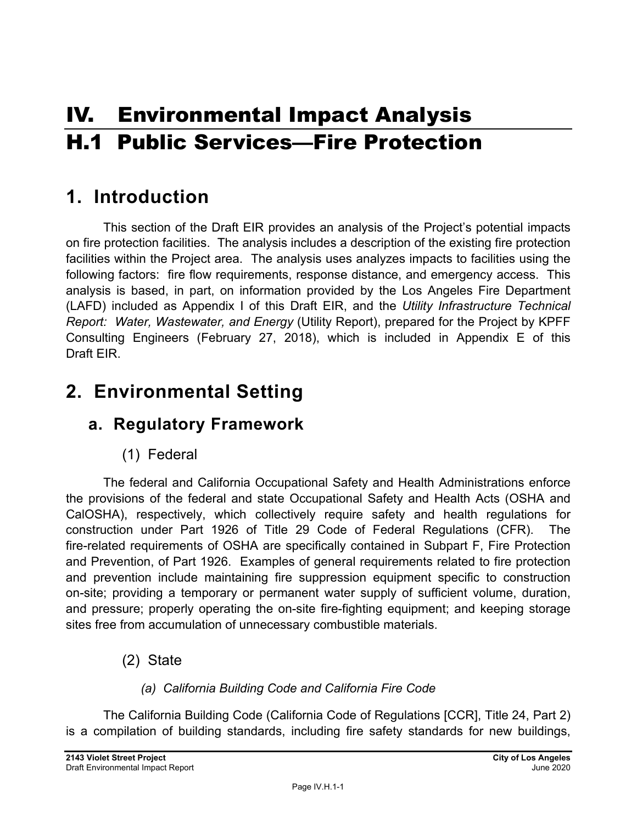# IV. Environmental Impact Analysis H.1 Public Services—Fire Protection

# **1. Introduction**

This section of the Draft EIR provides an analysis of the Project's potential impacts on fire protection facilities. The analysis includes a description of the existing fire protection facilities within the Project area. The analysis uses analyzes impacts to facilities using the following factors: fire flow requirements, response distance, and emergency access. This analysis is based, in part, on information provided by the Los Angeles Fire Department (LAFD) included as Appendix I of this Draft EIR, and the *Utility Infrastructure Technical Report: Water, Wastewater, and Energy* (Utility Report), prepared for the Project by KPFF Consulting Engineers (February 27, 2018), which is included in Appendix E of this Draft EIR.

# **2. Environmental Setting**

# **a. Regulatory Framework**

(1) Federal

The federal and California Occupational Safety and Health Administrations enforce the provisions of the federal and state Occupational Safety and Health Acts (OSHA and CalOSHA), respectively, which collectively require safety and health regulations for construction under Part 1926 of Title 29 Code of Federal Regulations (CFR). The fire-related requirements of OSHA are specifically contained in Subpart F, Fire Protection and Prevention, of Part 1926. Examples of general requirements related to fire protection and prevention include maintaining fire suppression equipment specific to construction on-site; providing a temporary or permanent water supply of sufficient volume, duration, and pressure; properly operating the on-site fire-fighting equipment; and keeping storage sites free from accumulation of unnecessary combustible materials.

(2) State

### *(a) California Building Code and California Fire Code*

The California Building Code (California Code of Regulations [CCR], Title 24, Part 2) is a compilation of building standards, including fire safety standards for new buildings,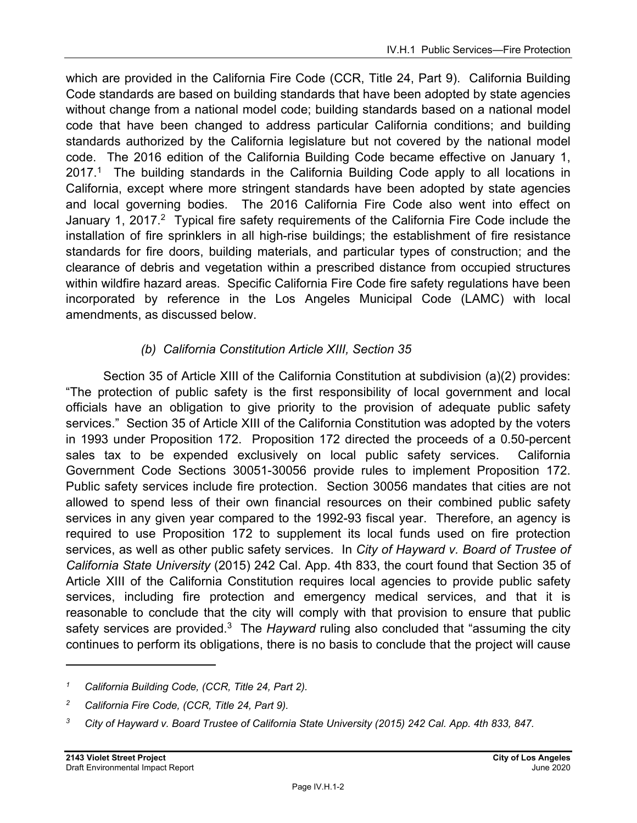which are provided in the California Fire Code (CCR, Title 24, Part 9). California Building Code standards are based on building standards that have been adopted by state agencies without change from a national model code; building standards based on a national model code that have been changed to address particular California conditions; and building standards authorized by the California legislature but not covered by the national model code. The 2016 edition of the California Building Code became effective on January 1,  $2017<sup>1</sup>$  The building standards in the California Building Code apply to all locations in California, except where more stringent standards have been adopted by state agencies and local governing bodies. The 2016 California Fire Code also went into effect on January 1, 2017.<sup>2</sup> Typical fire safety requirements of the California Fire Code include the installation of fire sprinklers in all high-rise buildings; the establishment of fire resistance standards for fire doors, building materials, and particular types of construction; and the clearance of debris and vegetation within a prescribed distance from occupied structures within wildfire hazard areas. Specific California Fire Code fire safety regulations have been incorporated by reference in the Los Angeles Municipal Code (LAMC) with local amendments, as discussed below.

### *(b) California Constitution Article XIII, Section 35*

Section 35 of Article XIII of the California Constitution at subdivision (a)(2) provides: "The protection of public safety is the first responsibility of local government and local officials have an obligation to give priority to the provision of adequate public safety services." Section 35 of Article XIII of the California Constitution was adopted by the voters in 1993 under Proposition 172. Proposition 172 directed the proceeds of a 0.50-percent sales tax to be expended exclusively on local public safety services. California Government Code Sections 30051-30056 provide rules to implement Proposition 172. Public safety services include fire protection. Section 30056 mandates that cities are not allowed to spend less of their own financial resources on their combined public safety services in any given year compared to the 1992-93 fiscal year. Therefore, an agency is required to use Proposition 172 to supplement its local funds used on fire protection services, as well as other public safety services. In *City of Hayward v. Board of Trustee of California State University* (2015) 242 Cal. App. 4th 833, the court found that Section 35 of Article XIII of the California Constitution requires local agencies to provide public safety services, including fire protection and emergency medical services, and that it is reasonable to conclude that the city will comply with that provision to ensure that public safety services are provided.<sup>3</sup> The *Hayward* ruling also concluded that "assuming the city continues to perform its obligations, there is no basis to conclude that the project will cause

*<sup>1</sup> California Building Code, (CCR, Title 24, Part 2).* 

*<sup>2</sup> California Fire Code, (CCR, Title 24, Part 9).* 

*<sup>3</sup> City of Hayward v. Board Trustee of California State University (2015) 242 Cal. App. 4th 833, 847.*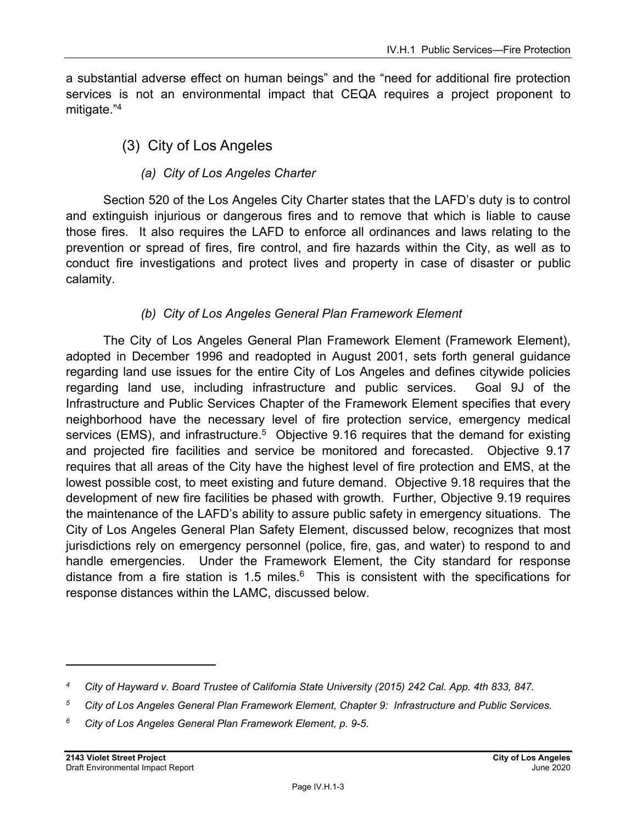a substantial adverse effect on human beings" and the "need for additional fire protection services is not an environmental impact that CEQA requires a project proponent to mitigate."<sup>4</sup>

### (3) City of Los Angeles

### *(a) City of Los Angeles Charter*

Section 520 of the Los Angeles City Charter states that the LAFD's duty is to control and extinguish injurious or dangerous fires and to remove that which is liable to cause those fires. It also requires the LAFD to enforce all ordinances and laws relating to the prevention or spread of fires, fire control, and fire hazards within the City, as well as to conduct fire investigations and protect lives and property in case of disaster or public calamity.

### *(b) City of Los Angeles General Plan Framework Element*

The City of Los Angeles General Plan Framework Element (Framework Element), adopted in December 1996 and readopted in August 2001, sets forth general guidance regarding land use issues for the entire City of Los Angeles and defines citywide policies regarding land use, including infrastructure and public services. Goal 9J of the Infrastructure and Public Services Chapter of the Framework Element specifies that every neighborhood have the necessary level of fire protection service, emergency medical services (EMS), and infrastructure.<sup>5</sup> Objective 9.16 requires that the demand for existing and projected fire facilities and service be monitored and forecasted. Objective 9.17 requires that all areas of the City have the highest level of fire protection and EMS, at the lowest possible cost, to meet existing and future demand. Objective 9.18 requires that the development of new fire facilities be phased with growth. Further, Objective 9.19 requires the maintenance of the LAFD's ability to assure public safety in emergency situations. The City of Los Angeles General Plan Safety Element, discussed below, recognizes that most jurisdictions rely on emergency personnel (police, fire, gas, and water) to respond to and handle emergencies. Under the Framework Element, the City standard for response distance from a fire station is 1.5 miles. $6$  This is consistent with the specifications for response distances within the LAMC, discussed below.

*<sup>4</sup> City of Hayward v. Board Trustee of California State University (2015) 242 Cal. App. 4th 833, 847.* 

*<sup>5</sup> City of Los Angeles General Plan Framework Element, Chapter 9: Infrastructure and Public Services.* 

*<sup>6</sup> City of Los Angeles General Plan Framework Element, p. 9-5.*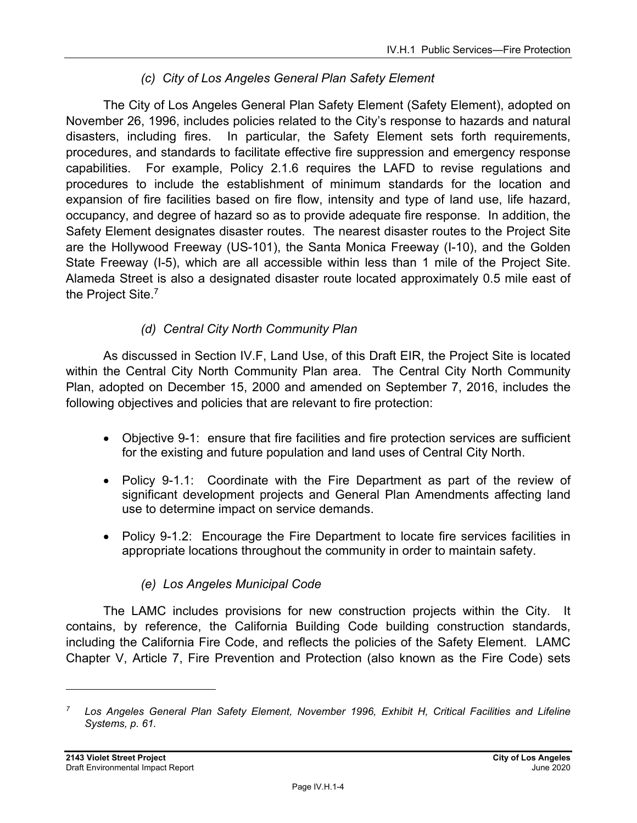### *(c) City of Los Angeles General Plan Safety Element*

The City of Los Angeles General Plan Safety Element (Safety Element), adopted on November 26, 1996, includes policies related to the City's response to hazards and natural disasters, including fires. In particular, the Safety Element sets forth requirements, procedures, and standards to facilitate effective fire suppression and emergency response capabilities. For example, Policy 2.1.6 requires the LAFD to revise regulations and procedures to include the establishment of minimum standards for the location and expansion of fire facilities based on fire flow, intensity and type of land use, life hazard, occupancy, and degree of hazard so as to provide adequate fire response. In addition, the Safety Element designates disaster routes. The nearest disaster routes to the Project Site are the Hollywood Freeway (US-101), the Santa Monica Freeway (I-10), and the Golden State Freeway (I-5), which are all accessible within less than 1 mile of the Project Site. Alameda Street is also a designated disaster route located approximately 0.5 mile east of the Project Site.7

### *(d) Central City North Community Plan*

As discussed in Section IV.F, Land Use, of this Draft EIR, the Project Site is located within the Central City North Community Plan area. The Central City North Community Plan, adopted on December 15, 2000 and amended on September 7, 2016, includes the following objectives and policies that are relevant to fire protection:

- Objective 9-1: ensure that fire facilities and fire protection services are sufficient for the existing and future population and land uses of Central City North.
- Policy 9-1.1: Coordinate with the Fire Department as part of the review of significant development projects and General Plan Amendments affecting land use to determine impact on service demands.
- Policy 9-1.2: Encourage the Fire Department to locate fire services facilities in appropriate locations throughout the community in order to maintain safety.

### *(e) Los Angeles Municipal Code*

The LAMC includes provisions for new construction projects within the City. It contains, by reference, the California Building Code building construction standards, including the California Fire Code, and reflects the policies of the Safety Element. LAMC Chapter V, Article 7, Fire Prevention and Protection (also known as the Fire Code) sets

*<sup>7</sup> Los Angeles General Plan Safety Element, November 1996, Exhibit H, Critical Facilities and Lifeline Systems, p. 61.*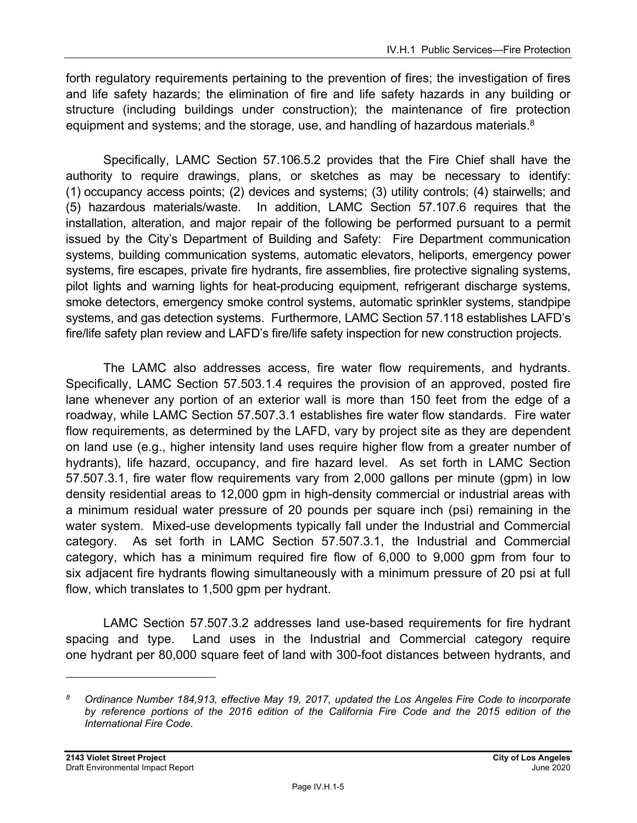forth regulatory requirements pertaining to the prevention of fires; the investigation of fires and life safety hazards; the elimination of fire and life safety hazards in any building or structure (including buildings under construction); the maintenance of fire protection equipment and systems; and the storage, use, and handling of hazardous materials.<sup>8</sup>

Specifically, LAMC Section 57.106.5.2 provides that the Fire Chief shall have the authority to require drawings, plans, or sketches as may be necessary to identify: (1) occupancy access points; (2) devices and systems; (3) utility controls; (4) stairwells; and (5) hazardous materials/waste. In addition, LAMC Section 57.107.6 requires that the installation, alteration, and major repair of the following be performed pursuant to a permit issued by the City's Department of Building and Safety: Fire Department communication systems, building communication systems, automatic elevators, heliports, emergency power systems, fire escapes, private fire hydrants, fire assemblies, fire protective signaling systems, pilot lights and warning lights for heat-producing equipment, refrigerant discharge systems, smoke detectors, emergency smoke control systems, automatic sprinkler systems, standpipe systems, and gas detection systems. Furthermore, LAMC Section 57.118 establishes LAFD's fire/life safety plan review and LAFD's fire/life safety inspection for new construction projects.

The LAMC also addresses access, fire water flow requirements, and hydrants. Specifically, LAMC Section 57.503.1.4 requires the provision of an approved, posted fire lane whenever any portion of an exterior wall is more than 150 feet from the edge of a roadway, while LAMC Section 57.507.3.1 establishes fire water flow standards. Fire water flow requirements, as determined by the LAFD, vary by project site as they are dependent on land use (e.g., higher intensity land uses require higher flow from a greater number of hydrants), life hazard, occupancy, and fire hazard level. As set forth in LAMC Section 57.507.3.1, fire water flow requirements vary from 2,000 gallons per minute (gpm) in low density residential areas to 12,000 gpm in high-density commercial or industrial areas with a minimum residual water pressure of 20 pounds per square inch (psi) remaining in the water system. Mixed-use developments typically fall under the Industrial and Commercial category. As set forth in LAMC Section 57.507.3.1, the Industrial and Commercial category, which has a minimum required fire flow of 6,000 to 9,000 gpm from four to six adjacent fire hydrants flowing simultaneously with a minimum pressure of 20 psi at full flow, which translates to 1,500 gpm per hydrant.

LAMC Section 57.507.3.2 addresses land use-based requirements for fire hydrant spacing and type. Land uses in the Industrial and Commercial category require one hydrant per 80,000 square feet of land with 300-foot distances between hydrants, and

*<sup>8</sup> Ordinance Number 184,913, effective May 19, 2017, updated the Los Angeles Fire Code to incorporate*  by reference portions of the 2016 edition of the California Fire Code and the 2015 edition of the *International Fire Code.*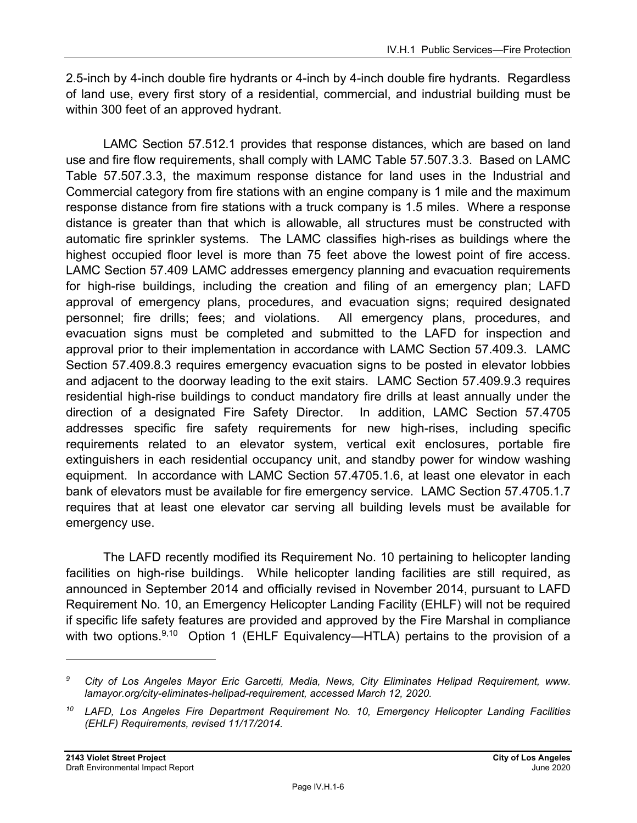2.5-inch by 4-inch double fire hydrants or 4-inch by 4-inch double fire hydrants. Regardless of land use, every first story of a residential, commercial, and industrial building must be within 300 feet of an approved hydrant.

LAMC Section 57.512.1 provides that response distances, which are based on land use and fire flow requirements, shall comply with LAMC Table 57.507.3.3. Based on LAMC Table 57.507.3.3, the maximum response distance for land uses in the Industrial and Commercial category from fire stations with an engine company is 1 mile and the maximum response distance from fire stations with a truck company is 1.5 miles. Where a response distance is greater than that which is allowable, all structures must be constructed with automatic fire sprinkler systems. The LAMC classifies high-rises as buildings where the highest occupied floor level is more than 75 feet above the lowest point of fire access. LAMC Section 57.409 LAMC addresses emergency planning and evacuation requirements for high-rise buildings, including the creation and filing of an emergency plan; LAFD approval of emergency plans, procedures, and evacuation signs; required designated personnel; fire drills; fees; and violations. All emergency plans, procedures, and evacuation signs must be completed and submitted to the LAFD for inspection and approval prior to their implementation in accordance with LAMC Section 57.409.3. LAMC Section 57.409.8.3 requires emergency evacuation signs to be posted in elevator lobbies and adjacent to the doorway leading to the exit stairs. LAMC Section 57.409.9.3 requires residential high-rise buildings to conduct mandatory fire drills at least annually under the direction of a designated Fire Safety Director. In addition, LAMC Section 57.4705 addresses specific fire safety requirements for new high-rises, including specific requirements related to an elevator system, vertical exit enclosures, portable fire extinguishers in each residential occupancy unit, and standby power for window washing equipment. In accordance with LAMC Section 57.4705.1.6, at least one elevator in each bank of elevators must be available for fire emergency service. LAMC Section 57.4705.1.7 requires that at least one elevator car serving all building levels must be available for emergency use.

The LAFD recently modified its Requirement No. 10 pertaining to helicopter landing facilities on high-rise buildings. While helicopter landing facilities are still required, as announced in September 2014 and officially revised in November 2014, pursuant to LAFD Requirement No. 10, an Emergency Helicopter Landing Facility (EHLF) will not be required if specific life safety features are provided and approved by the Fire Marshal in compliance with two options.<sup>9,10</sup> Option 1 (EHLF Equivalency—HTLA) pertains to the provision of a

*<sup>9</sup> City of Los Angeles Mayor Eric Garcetti, Media, News, City Eliminates Helipad Requirement, www. lamayor.org/city-eliminates-helipad-requirement, accessed March 12, 2020.* 

*<sup>10</sup> LAFD, Los Angeles Fire Department Requirement No. 10, Emergency Helicopter Landing Facilities (EHLF) Requirements, revised 11/17/2014.*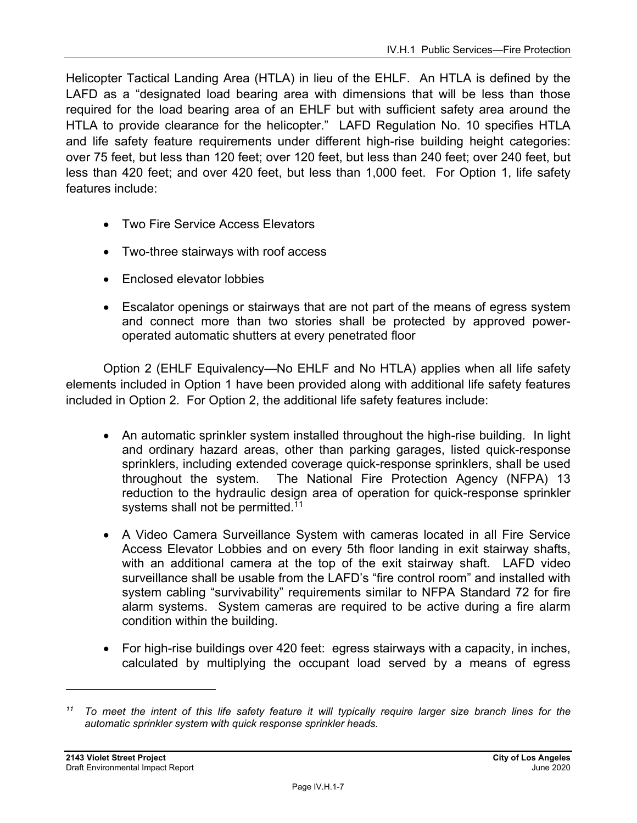Helicopter Tactical Landing Area (HTLA) in lieu of the EHLF. An HTLA is defined by the LAFD as a "designated load bearing area with dimensions that will be less than those required for the load bearing area of an EHLF but with sufficient safety area around the HTLA to provide clearance for the helicopter." LAFD Regulation No. 10 specifies HTLA and life safety feature requirements under different high-rise building height categories: over 75 feet, but less than 120 feet; over 120 feet, but less than 240 feet; over 240 feet, but less than 420 feet; and over 420 feet, but less than 1,000 feet. For Option 1, life safety features include:

- Two Fire Service Access Elevators
- Two-three stairways with roof access
- Enclosed elevator lobbies
- Escalator openings or stairways that are not part of the means of egress system and connect more than two stories shall be protected by approved poweroperated automatic shutters at every penetrated floor

Option 2 (EHLF Equivalency—No EHLF and No HTLA) applies when all life safety elements included in Option 1 have been provided along with additional life safety features included in Option 2. For Option 2, the additional life safety features include:

- An automatic sprinkler system installed throughout the high-rise building. In light and ordinary hazard areas, other than parking garages, listed quick-response sprinklers, including extended coverage quick-response sprinklers, shall be used throughout the system. The National Fire Protection Agency (NFPA) 13 reduction to the hydraulic design area of operation for quick-response sprinkler systems shall not be permitted.<sup>11</sup>
- A Video Camera Surveillance System with cameras located in all Fire Service Access Elevator Lobbies and on every 5th floor landing in exit stairway shafts, with an additional camera at the top of the exit stairway shaft. LAFD video surveillance shall be usable from the LAFD's "fire control room" and installed with system cabling "survivability" requirements similar to NFPA Standard 72 for fire alarm systems. System cameras are required to be active during a fire alarm condition within the building.
- For high-rise buildings over 420 feet: egress stairways with a capacity, in inches, calculated by multiplying the occupant load served by a means of egress

*<sup>11</sup> To meet the intent of this life safety feature it will typically require larger size branch lines for the automatic sprinkler system with quick response sprinkler heads.*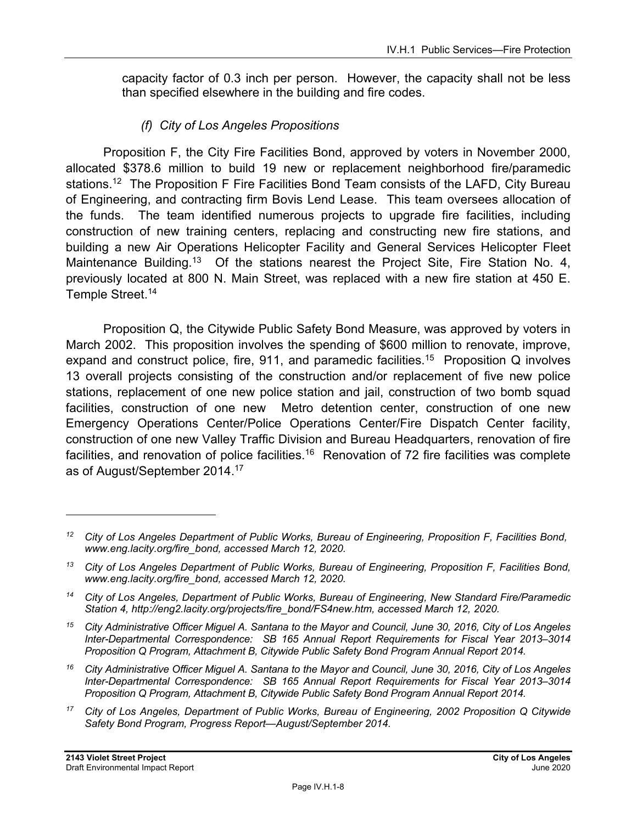capacity factor of 0.3 inch per person. However, the capacity shall not be less than specified elsewhere in the building and fire codes.

### *(f) City of Los Angeles Propositions*

Proposition F, the City Fire Facilities Bond, approved by voters in November 2000, allocated \$378.6 million to build 19 new or replacement neighborhood fire/paramedic stations.<sup>12</sup> The Proposition F Fire Facilities Bond Team consists of the LAFD, City Bureau of Engineering, and contracting firm Bovis Lend Lease. This team oversees allocation of the funds. The team identified numerous projects to upgrade fire facilities, including construction of new training centers, replacing and constructing new fire stations, and building a new Air Operations Helicopter Facility and General Services Helicopter Fleet Maintenance Building.<sup>13</sup> Of the stations nearest the Project Site, Fire Station No. 4, previously located at 800 N. Main Street, was replaced with a new fire station at 450 E. Temple Street.<sup>14</sup>

Proposition Q, the Citywide Public Safety Bond Measure, was approved by voters in March 2002. This proposition involves the spending of \$600 million to renovate, improve, expand and construct police, fire, 911, and paramedic facilities.<sup>15</sup> Proposition Q involves 13 overall projects consisting of the construction and/or replacement of five new police stations, replacement of one new police station and jail, construction of two bomb squad facilities, construction of one new Metro detention center, construction of one new Emergency Operations Center/Police Operations Center/Fire Dispatch Center facility, construction of one new Valley Traffic Division and Bureau Headquarters, renovation of fire facilities, and renovation of police facilities.<sup>16</sup> Renovation of 72 fire facilities was complete as of August/September 2014.17

*15 City Administrative Officer Miguel A. Santana to the Mayor and Council, June 30, 2016, City of Los Angeles Inter-Departmental Correspondence: SB 165 Annual Report Requirements for Fiscal Year 2013–3014 Proposition Q Program, Attachment B, Citywide Public Safety Bond Program Annual Report 2014.* 

*16 City Administrative Officer Miguel A. Santana to the Mayor and Council, June 30, 2016, City of Los Angeles Inter-Departmental Correspondence: SB 165 Annual Report Requirements for Fiscal Year 2013–3014 Proposition Q Program, Attachment B, Citywide Public Safety Bond Program Annual Report 2014.* 

*<sup>12</sup> City of Los Angeles Department of Public Works, Bureau of Engineering, Proposition F, Facilities Bond, www.eng.lacity.org/fire\_bond, accessed March 12, 2020.* 

*<sup>13</sup> City of Los Angeles Department of Public Works, Bureau of Engineering, Proposition F, Facilities Bond, www.eng.lacity.org/fire\_bond, accessed March 12, 2020.* 

*<sup>14</sup> City of Los Angeles, Department of Public Works, Bureau of Engineering, New Standard Fire/Paramedic Station 4, http://eng2.lacity.org/projects/fire\_bond/FS4new.htm, accessed March 12, 2020.* 

*<sup>17</sup> City of Los Angeles, Department of Public Works, Bureau of Engineering, 2002 Proposition Q Citywide Safety Bond Program, Progress Report—August/September 2014.*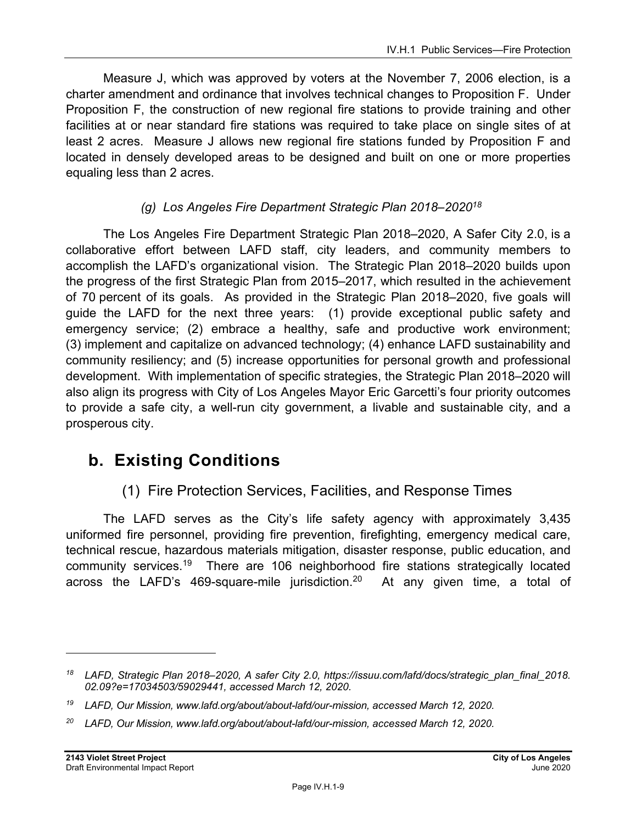Measure J, which was approved by voters at the November 7, 2006 election, is a charter amendment and ordinance that involves technical changes to Proposition F. Under Proposition F, the construction of new regional fire stations to provide training and other facilities at or near standard fire stations was required to take place on single sites of at least 2 acres. Measure J allows new regional fire stations funded by Proposition F and located in densely developed areas to be designed and built on one or more properties equaling less than 2 acres.

### *(g) Los Angeles Fire Department Strategic Plan 2018–202018*

The Los Angeles Fire Department Strategic Plan 2018–2020, A Safer City 2.0, is a collaborative effort between LAFD staff, city leaders, and community members to accomplish the LAFD's organizational vision. The Strategic Plan 2018–2020 builds upon the progress of the first Strategic Plan from 2015–2017, which resulted in the achievement of 70 percent of its goals. As provided in the Strategic Plan 2018–2020, five goals will guide the LAFD for the next three years: (1) provide exceptional public safety and emergency service; (2) embrace a healthy, safe and productive work environment; (3) implement and capitalize on advanced technology; (4) enhance LAFD sustainability and community resiliency; and (5) increase opportunities for personal growth and professional development. With implementation of specific strategies, the Strategic Plan 2018–2020 will also align its progress with City of Los Angeles Mayor Eric Garcetti's four priority outcomes to provide a safe city, a well-run city government, a livable and sustainable city, and a prosperous city.

# **b. Existing Conditions**

### (1) Fire Protection Services, Facilities, and Response Times

The LAFD serves as the City's life safety agency with approximately 3,435 uniformed fire personnel, providing fire prevention, firefighting, emergency medical care, technical rescue, hazardous materials mitigation, disaster response, public education, and community services.19 There are 106 neighborhood fire stations strategically located across the LAFD's 469-square-mile jurisdiction.<sup>20</sup> At any given time, a total of

*<sup>18</sup> LAFD, Strategic Plan 2018–2020, A safer City 2.0, https://issuu.com/lafd/docs/strategic\_plan\_final\_2018. 02.09?e=17034503/59029441, accessed March 12, 2020.* 

*<sup>19</sup> LAFD, Our Mission, www.lafd.org/about/about-lafd/our-mission, accessed March 12, 2020.* 

*<sup>20</sup> LAFD, Our Mission, www.lafd.org/about/about-lafd/our-mission, accessed March 12, 2020.*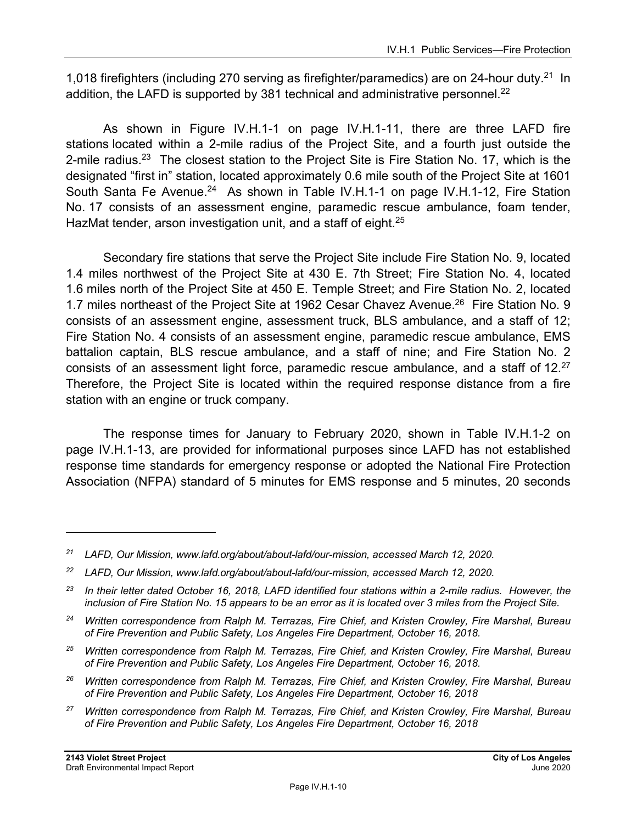1,018 firefighters (including 270 serving as firefighter/paramedics) are on 24-hour duty.<sup>21</sup> In addition, the LAFD is supported by 381 technical and administrative personnel.<sup>22</sup>

As shown in Figure IV.H.1-1 on page IV.H.1-11, there are three LAFD fire stations located within a 2-mile radius of the Project Site, and a fourth just outside the 2-mile radius.<sup>23</sup> The closest station to the Project Site is Fire Station No. 17, which is the designated "first in" station, located approximately 0.6 mile south of the Project Site at 1601 South Santa Fe Avenue.<sup>24</sup> As shown in Table IV.H.1-1 on page IV.H.1-12, Fire Station No. 17 consists of an assessment engine, paramedic rescue ambulance, foam tender, HazMat tender, arson investigation unit, and a staff of eight.<sup>25</sup>

Secondary fire stations that serve the Project Site include Fire Station No. 9, located 1.4 miles northwest of the Project Site at 430 E. 7th Street; Fire Station No. 4, located 1.6 miles north of the Project Site at 450 E. Temple Street; and Fire Station No. 2, located 1.7 miles northeast of the Project Site at 1962 Cesar Chavez Avenue.<sup>26</sup> Fire Station No. 9 consists of an assessment engine, assessment truck, BLS ambulance, and a staff of 12; Fire Station No. 4 consists of an assessment engine, paramedic rescue ambulance, EMS battalion captain, BLS rescue ambulance, and a staff of nine; and Fire Station No. 2 consists of an assessment light force, paramedic rescue ambulance, and a staff of 12.<sup>27</sup> Therefore, the Project Site is located within the required response distance from a fire station with an engine or truck company.

The response times for January to February 2020, shown in Table IV.H.1-2 on page IV.H.1-13, are provided for informational purposes since LAFD has not established response time standards for emergency response or adopted the National Fire Protection Association (NFPA) standard of 5 minutes for EMS response and 5 minutes, 20 seconds

*<sup>21</sup> LAFD, Our Mission, www.lafd.org/about/about-lafd/our-mission, accessed March 12, 2020.* 

*<sup>22</sup> LAFD, Our Mission, www.lafd.org/about/about-lafd/our-mission, accessed March 12, 2020.* 

*<sup>23</sup> In their letter dated October 16, 2018, LAFD identified four stations within a 2-mile radius. However, the inclusion of Fire Station No. 15 appears to be an error as it is located over 3 miles from the Project Site.* 

*<sup>24</sup> Written correspondence from Ralph M. Terrazas, Fire Chief, and Kristen Crowley, Fire Marshal, Bureau of Fire Prevention and Public Safety, Los Angeles Fire Department, October 16, 2018.* 

*<sup>25</sup> Written correspondence from Ralph M. Terrazas, Fire Chief, and Kristen Crowley, Fire Marshal, Bureau of Fire Prevention and Public Safety, Los Angeles Fire Department, October 16, 2018.* 

*<sup>26</sup> Written correspondence from Ralph M. Terrazas, Fire Chief, and Kristen Crowley, Fire Marshal, Bureau of Fire Prevention and Public Safety, Los Angeles Fire Department, October 16, 2018* 

*<sup>27</sup> Written correspondence from Ralph M. Terrazas, Fire Chief, and Kristen Crowley, Fire Marshal, Bureau of Fire Prevention and Public Safety, Los Angeles Fire Department, October 16, 2018*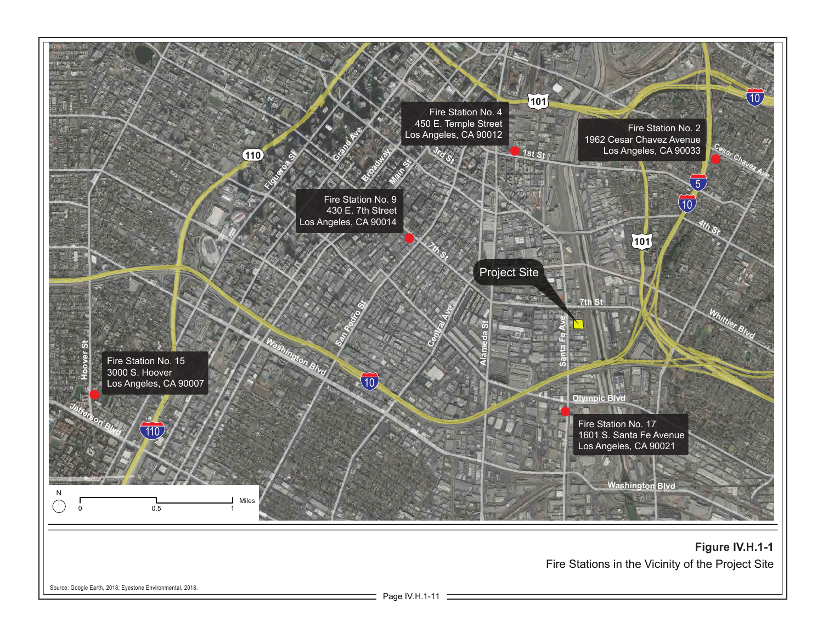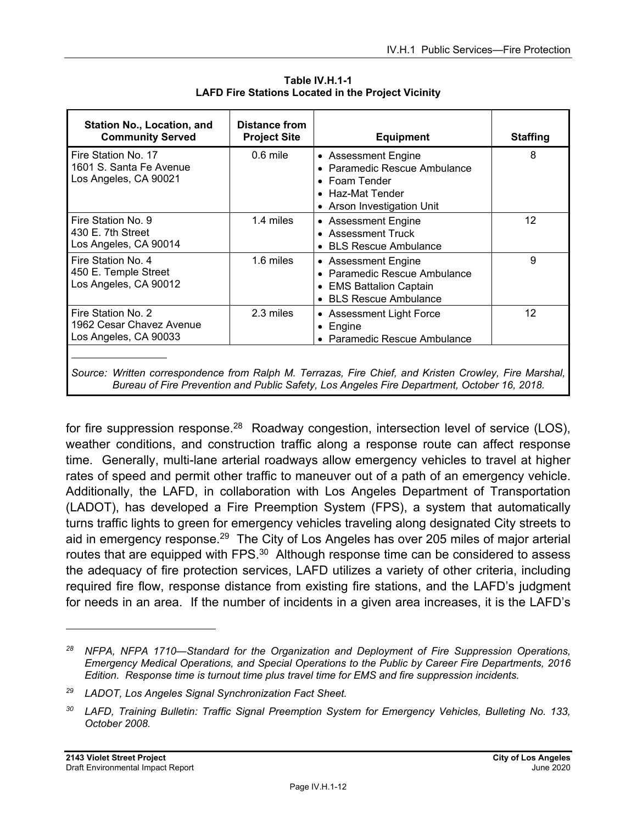| <b>Station No., Location, and</b><br><b>Community Served</b>                                                                                                                                         | Distance from<br><b>Project Site</b> | <b>Equipment</b>                                                                                                                                        | <b>Staffing</b>   |
|------------------------------------------------------------------------------------------------------------------------------------------------------------------------------------------------------|--------------------------------------|---------------------------------------------------------------------------------------------------------------------------------------------------------|-------------------|
| Fire Station No. 17<br>1601 S. Santa Fe Avenue<br>Los Angeles, CA 90021                                                                                                                              | $0.6$ mile                           | • Assessment Engine<br>Paramedic Rescue Ambulance<br>$\bullet$<br>Foam Tender<br>$\bullet$<br>Haz-Mat Tender<br>$\bullet$<br>• Arson Investigation Unit | 8                 |
| Fire Station No. 9<br>430 E. 7th Street<br>Los Angeles, CA 90014                                                                                                                                     | 1.4 miles                            | • Assessment Engine<br>• Assessment Truck<br><b>BLS Rescue Ambulance</b>                                                                                | 12                |
| Fire Station No. 4<br>450 E. Temple Street<br>Los Angeles, CA 90012                                                                                                                                  | 1.6 miles                            | • Assessment Engine<br><b>Paramedic Rescue Ambulance</b><br>• EMS Battalion Captain<br><b>BLS Rescue Ambulance</b><br>$\bullet$                         | 9                 |
| Fire Station No. 2<br>1962 Cesar Chavez Avenue<br>Los Angeles, CA 90033                                                                                                                              | 2.3 miles                            | • Assessment Light Force<br>Engine<br>$\bullet$<br>Paramedic Rescue Ambulance<br>$\bullet$                                                              | $12 \overline{ }$ |
| Source: Written correspondence from Ralph M. Terrazas, Fire Chief, and Kristen Crowley, Fire Marshal,<br>Bureau of Fire Prevention and Public Safety, Los Angeles Fire Department, October 16, 2018. |                                      |                                                                                                                                                         |                   |

**Table IV.H.1-1 LAFD Fire Stations Located in the Project Vicinity** 

for fire suppression response.<sup>28</sup> Roadway congestion, intersection level of service (LOS), weather conditions, and construction traffic along a response route can affect response time. Generally, multi-lane arterial roadways allow emergency vehicles to travel at higher rates of speed and permit other traffic to maneuver out of a path of an emergency vehicle. Additionally, the LAFD, in collaboration with Los Angeles Department of Transportation (LADOT), has developed a Fire Preemption System (FPS), a system that automatically turns traffic lights to green for emergency vehicles traveling along designated City streets to aid in emergency response.<sup>29</sup> The City of Los Angeles has over 205 miles of major arterial routes that are equipped with FPS.<sup>30</sup> Although response time can be considered to assess the adequacy of fire protection services, LAFD utilizes a variety of other criteria, including required fire flow, response distance from existing fire stations, and the LAFD's judgment for needs in an area. If the number of incidents in a given area increases, it is the LAFD's

*<sup>28</sup> NFPA, NFPA 1710—Standard for the Organization and Deployment of Fire Suppression Operations, Emergency Medical Operations, and Special Operations to the Public by Career Fire Departments, 2016 Edition. Response time is turnout time plus travel time for EMS and fire suppression incidents.* 

*<sup>29</sup> LADOT, Los Angeles Signal Synchronization Fact Sheet.* 

*<sup>30</sup> LAFD, Training Bulletin: Traffic Signal Preemption System for Emergency Vehicles, Bulleting No. 133, October 2008.*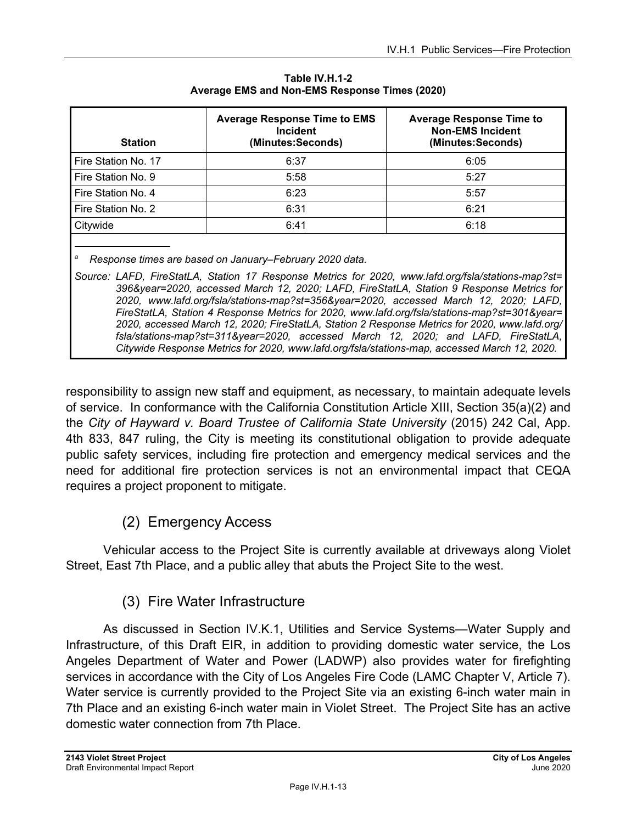| <b>Station</b>      | <b>Average Response Time to EMS</b><br><b>Incident</b><br>(Minutes:Seconds) | <b>Average Response Time to</b><br><b>Non-EMS Incident</b><br>(Minutes:Seconds) |
|---------------------|-----------------------------------------------------------------------------|---------------------------------------------------------------------------------|
| Fire Station No. 17 | 6:37                                                                        | 6:05                                                                            |
| Fire Station No. 9  | 5:58                                                                        | 5:27                                                                            |
| Fire Station No. 4  | 6:23                                                                        | 5:57                                                                            |
| Fire Station No. 2  | 6:31                                                                        | 6:21                                                                            |
| Citywide            | 6:41                                                                        | 6:18                                                                            |
|                     |                                                                             |                                                                                 |

**Table IV.H.1-2 Average EMS and Non-EMS Response Times (2020)** 

*a Response times are based on January–February 2020 data.* 

*Source: LAFD, FireStatLA, Station 17 Response Metrics for 2020, www.lafd.org/fsla/stations-map?st= 396&year=2020, accessed March 12, 2020; LAFD, FireStatLA, Station 9 Response Metrics for 2020, www.lafd.org/fsla/stations-map?st=356&year=2020, accessed March 12, 2020; LAFD, FireStatLA, Station 4 Response Metrics for 2020, www.lafd.org/fsla/stations-map?st=301&year= 2020, accessed March 12, 2020; FireStatLA, Station 2 Response Metrics for 2020, www.lafd.org/ fsla/stations-map?st=311&year=2020, accessed March 12, 2020; and LAFD, FireStatLA, Citywide Response Metrics for 2020, www.lafd.org/fsla/stations-map, accessed March 12, 2020.* 

responsibility to assign new staff and equipment, as necessary, to maintain adequate levels of service. In conformance with the California Constitution Article XIII, Section 35(a)(2) and the *City of Hayward v. Board Trustee of California State University* (2015) 242 Cal, App. 4th 833, 847 ruling, the City is meeting its constitutional obligation to provide adequate public safety services, including fire protection and emergency medical services and the need for additional fire protection services is not an environmental impact that CEQA requires a project proponent to mitigate.

### (2) Emergency Access

Vehicular access to the Project Site is currently available at driveways along Violet Street, East 7th Place, and a public alley that abuts the Project Site to the west.

### (3) Fire Water Infrastructure

As discussed in Section IV.K.1, Utilities and Service Systems—Water Supply and Infrastructure, of this Draft EIR, in addition to providing domestic water service, the Los Angeles Department of Water and Power (LADWP) also provides water for firefighting services in accordance with the City of Los Angeles Fire Code (LAMC Chapter V, Article 7). Water service is currently provided to the Project Site via an existing 6-inch water main in 7th Place and an existing 6-inch water main in Violet Street. The Project Site has an active domestic water connection from 7th Place.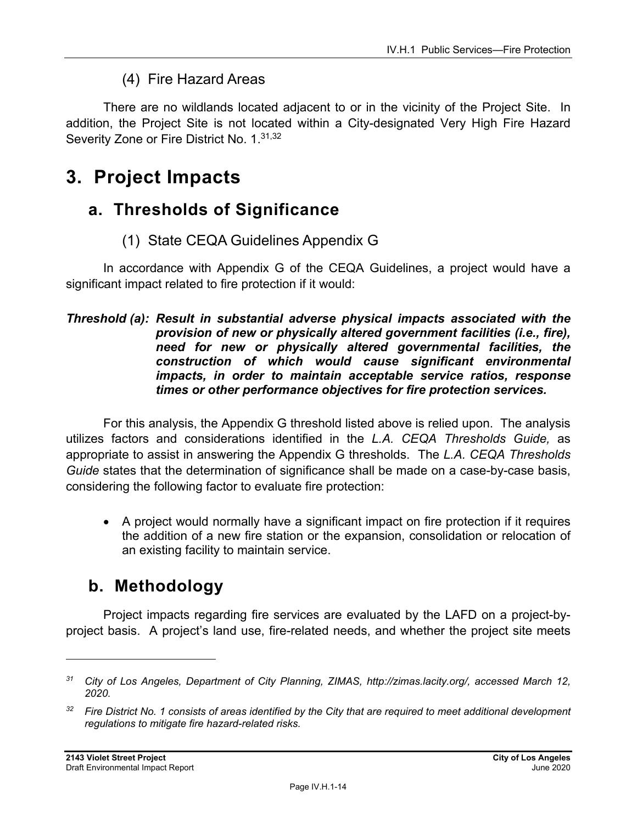### (4) Fire Hazard Areas

There are no wildlands located adjacent to or in the vicinity of the Project Site. In addition, the Project Site is not located within a City-designated Very High Fire Hazard Severity Zone or Fire District No. 1.<sup>31,32</sup>

# **3. Project Impacts**

# **a. Thresholds of Significance**

(1) State CEQA Guidelines Appendix G

In accordance with Appendix G of the CEQA Guidelines, a project would have a significant impact related to fire protection if it would:

#### *Threshold (a): Result in substantial adverse physical impacts associated with the provision of new or physically altered government facilities (i.e., fire), need for new or physically altered governmental facilities, the construction of which would cause significant environmental impacts, in order to maintain acceptable service ratios, response times or other performance objectives for fire protection services.*

For this analysis, the Appendix G threshold listed above is relied upon. The analysis utilizes factors and considerations identified in the *L.A. CEQA Thresholds Guide,* as appropriate to assist in answering the Appendix G thresholds. The *L.A. CEQA Thresholds Guide* states that the determination of significance shall be made on a case-by-case basis, considering the following factor to evaluate fire protection:

 A project would normally have a significant impact on fire protection if it requires the addition of a new fire station or the expansion, consolidation or relocation of an existing facility to maintain service.

# **b. Methodology**

Project impacts regarding fire services are evaluated by the LAFD on a project-byproject basis. A project's land use, fire-related needs, and whether the project site meets

*<sup>31</sup> City of Los Angeles, Department of City Planning, ZIMAS, http://zimas.lacity.org/, accessed March 12, 2020.* 

*<sup>32</sup> Fire District No. 1 consists of areas identified by the City that are required to meet additional development regulations to mitigate fire hazard-related risks.*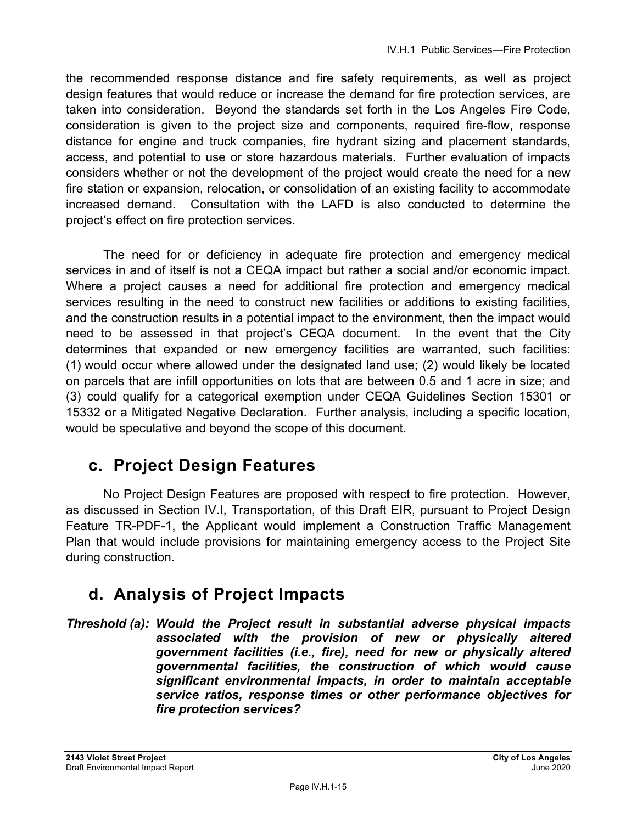the recommended response distance and fire safety requirements, as well as project design features that would reduce or increase the demand for fire protection services, are taken into consideration. Beyond the standards set forth in the Los Angeles Fire Code, consideration is given to the project size and components, required fire-flow, response distance for engine and truck companies, fire hydrant sizing and placement standards, access, and potential to use or store hazardous materials. Further evaluation of impacts considers whether or not the development of the project would create the need for a new fire station or expansion, relocation, or consolidation of an existing facility to accommodate increased demand. Consultation with the LAFD is also conducted to determine the project's effect on fire protection services.

The need for or deficiency in adequate fire protection and emergency medical services in and of itself is not a CEQA impact but rather a social and/or economic impact. Where a project causes a need for additional fire protection and emergency medical services resulting in the need to construct new facilities or additions to existing facilities, and the construction results in a potential impact to the environment, then the impact would need to be assessed in that project's CEQA document. In the event that the City determines that expanded or new emergency facilities are warranted, such facilities: (1) would occur where allowed under the designated land use; (2) would likely be located on parcels that are infill opportunities on lots that are between 0.5 and 1 acre in size; and (3) could qualify for a categorical exemption under CEQA Guidelines Section 15301 or 15332 or a Mitigated Negative Declaration. Further analysis, including a specific location, would be speculative and beyond the scope of this document.

# **c. Project Design Features**

No Project Design Features are proposed with respect to fire protection. However, as discussed in Section IV.I, Transportation, of this Draft EIR, pursuant to Project Design Feature TR-PDF-1, the Applicant would implement a Construction Traffic Management Plan that would include provisions for maintaining emergency access to the Project Site during construction.

# **d. Analysis of Project Impacts**

*Threshold (a): Would the Project result in substantial adverse physical impacts associated with the provision of new or physically altered government facilities (i.e., fire), need for new or physically altered governmental facilities, the construction of which would cause significant environmental impacts, in order to maintain acceptable service ratios, response times or other performance objectives for fire protection services?*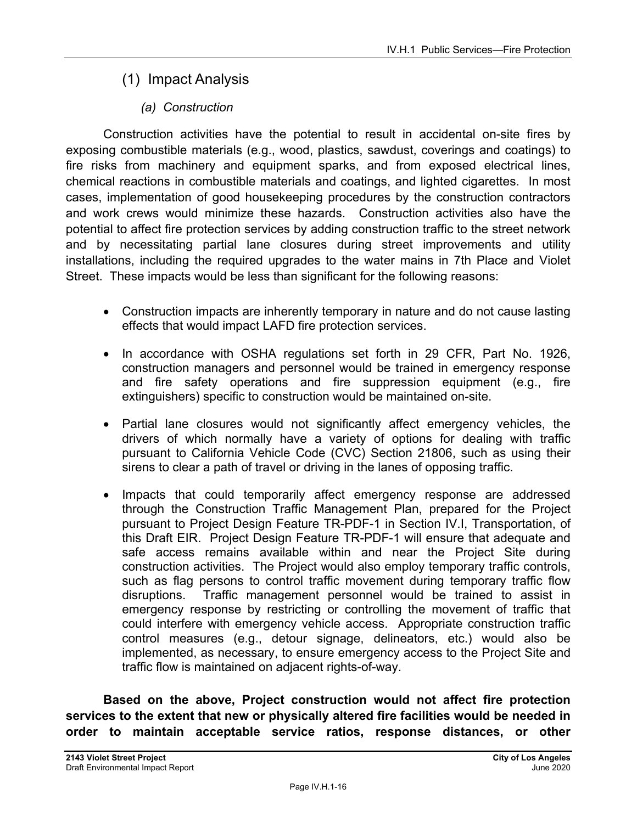# (1) Impact Analysis

### *(a) Construction*

Construction activities have the potential to result in accidental on-site fires by exposing combustible materials (e.g., wood, plastics, sawdust, coverings and coatings) to fire risks from machinery and equipment sparks, and from exposed electrical lines, chemical reactions in combustible materials and coatings, and lighted cigarettes. In most cases, implementation of good housekeeping procedures by the construction contractors and work crews would minimize these hazards. Construction activities also have the potential to affect fire protection services by adding construction traffic to the street network and by necessitating partial lane closures during street improvements and utility installations, including the required upgrades to the water mains in 7th Place and Violet Street. These impacts would be less than significant for the following reasons:

- Construction impacts are inherently temporary in nature and do not cause lasting effects that would impact LAFD fire protection services.
- In accordance with OSHA regulations set forth in 29 CFR, Part No. 1926, construction managers and personnel would be trained in emergency response and fire safety operations and fire suppression equipment (e.g., fire extinguishers) specific to construction would be maintained on-site.
- Partial lane closures would not significantly affect emergency vehicles, the drivers of which normally have a variety of options for dealing with traffic pursuant to California Vehicle Code (CVC) Section 21806, such as using their sirens to clear a path of travel or driving in the lanes of opposing traffic.
- Impacts that could temporarily affect emergency response are addressed through the Construction Traffic Management Plan, prepared for the Project pursuant to Project Design Feature TR-PDF-1 in Section IV.I, Transportation, of this Draft EIR. Project Design Feature TR-PDF-1 will ensure that adequate and safe access remains available within and near the Project Site during construction activities. The Project would also employ temporary traffic controls, such as flag persons to control traffic movement during temporary traffic flow disruptions. Traffic management personnel would be trained to assist in emergency response by restricting or controlling the movement of traffic that could interfere with emergency vehicle access. Appropriate construction traffic control measures (e.g., detour signage, delineators, etc.) would also be implemented, as necessary, to ensure emergency access to the Project Site and traffic flow is maintained on adjacent rights-of-way.

**Based on the above, Project construction would not affect fire protection services to the extent that new or physically altered fire facilities would be needed in order to maintain acceptable service ratios, response distances, or other**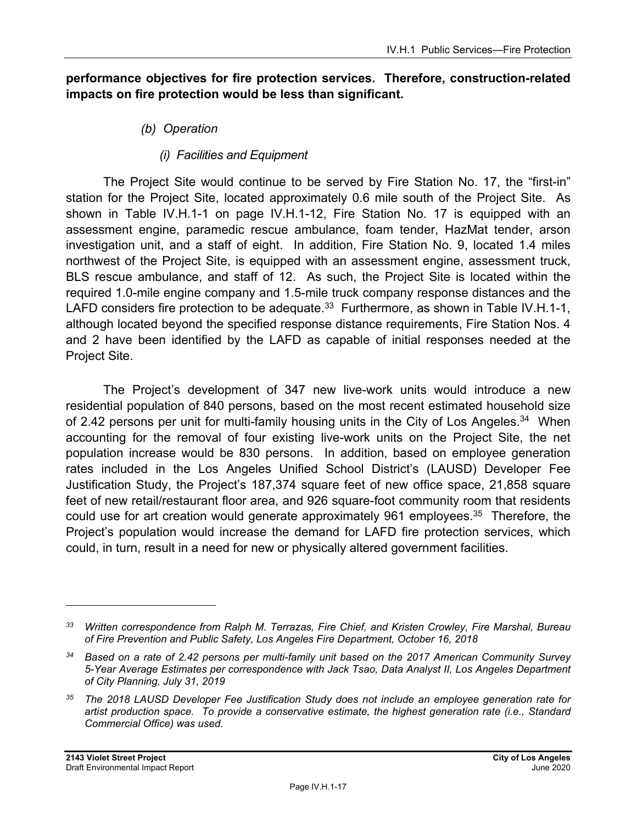#### **performance objectives for fire protection services. Therefore, construction-related impacts on fire protection would be less than significant.**

- *(b) Operation* 
	- *(i) Facilities and Equipment*

The Project Site would continue to be served by Fire Station No. 17, the "first-in" station for the Project Site, located approximately 0.6 mile south of the Project Site. As shown in Table IV.H.1-1 on page IV.H.1-12, Fire Station No. 17 is equipped with an assessment engine, paramedic rescue ambulance, foam tender, HazMat tender, arson investigation unit, and a staff of eight. In addition, Fire Station No. 9, located 1.4 miles northwest of the Project Site, is equipped with an assessment engine, assessment truck, BLS rescue ambulance, and staff of 12. As such, the Project Site is located within the required 1.0-mile engine company and 1.5-mile truck company response distances and the LAFD considers fire protection to be adequate.<sup>33</sup> Furthermore, as shown in Table IV.H.1-1, although located beyond the specified response distance requirements, Fire Station Nos. 4 and 2 have been identified by the LAFD as capable of initial responses needed at the Project Site.

The Project's development of 347 new live-work units would introduce a new residential population of 840 persons, based on the most recent estimated household size of 2.42 persons per unit for multi-family housing units in the City of Los Angeles.<sup>34</sup> When accounting for the removal of four existing live-work units on the Project Site, the net population increase would be 830 persons. In addition, based on employee generation rates included in the Los Angeles Unified School District's (LAUSD) Developer Fee Justification Study, the Project's 187,374 square feet of new office space, 21,858 square feet of new retail/restaurant floor area, and 926 square-foot community room that residents could use for art creation would generate approximately 961 employees.<sup>35</sup> Therefore, the Project's population would increase the demand for LAFD fire protection services, which could, in turn, result in a need for new or physically altered government facilities.

*<sup>33</sup> Written correspondence from Ralph M. Terrazas, Fire Chief, and Kristen Crowley, Fire Marshal, Bureau of Fire Prevention and Public Safety, Los Angeles Fire Department, October 16, 2018* 

*<sup>34</sup> Based on a rate of 2.42 persons per multi-family unit based on the 2017 American Community Survey 5-Year Average Estimates per correspondence with Jack Tsao, Data Analyst II, Los Angeles Department of City Planning, July 31, 2019* 

*<sup>35</sup> The 2018 LAUSD Developer Fee Justification Study does not include an employee generation rate for artist production space. To provide a conservative estimate, the highest generation rate (i.e., Standard Commercial Office) was used.*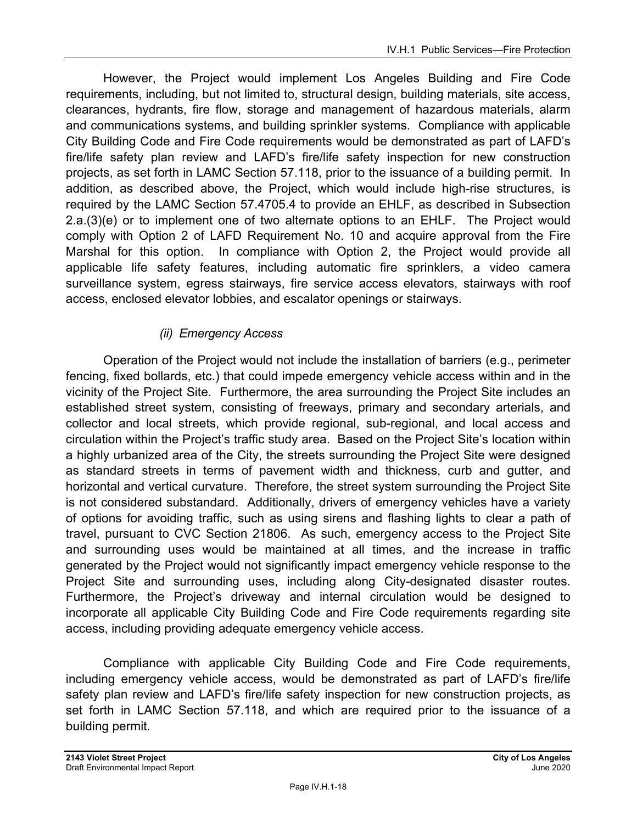However, the Project would implement Los Angeles Building and Fire Code requirements, including, but not limited to, structural design, building materials, site access, clearances, hydrants, fire flow, storage and management of hazardous materials, alarm and communications systems, and building sprinkler systems. Compliance with applicable City Building Code and Fire Code requirements would be demonstrated as part of LAFD's fire/life safety plan review and LAFD's fire/life safety inspection for new construction projects, as set forth in LAMC Section 57.118, prior to the issuance of a building permit. In addition, as described above, the Project, which would include high-rise structures, is required by the LAMC Section 57.4705.4 to provide an EHLF, as described in Subsection 2.a.(3)(e) or to implement one of two alternate options to an EHLF. The Project would comply with Option 2 of LAFD Requirement No. 10 and acquire approval from the Fire Marshal for this option. In compliance with Option 2, the Project would provide all applicable life safety features, including automatic fire sprinklers, a video camera surveillance system, egress stairways, fire service access elevators, stairways with roof access, enclosed elevator lobbies, and escalator openings or stairways.

### *(ii) Emergency Access*

Operation of the Project would not include the installation of barriers (e.g., perimeter fencing, fixed bollards, etc.) that could impede emergency vehicle access within and in the vicinity of the Project Site. Furthermore, the area surrounding the Project Site includes an established street system, consisting of freeways, primary and secondary arterials, and collector and local streets, which provide regional, sub-regional, and local access and circulation within the Project's traffic study area. Based on the Project Site's location within a highly urbanized area of the City, the streets surrounding the Project Site were designed as standard streets in terms of pavement width and thickness, curb and gutter, and horizontal and vertical curvature. Therefore, the street system surrounding the Project Site is not considered substandard. Additionally, drivers of emergency vehicles have a variety of options for avoiding traffic, such as using sirens and flashing lights to clear a path of travel, pursuant to CVC Section 21806. As such, emergency access to the Project Site and surrounding uses would be maintained at all times, and the increase in traffic generated by the Project would not significantly impact emergency vehicle response to the Project Site and surrounding uses, including along City-designated disaster routes. Furthermore, the Project's driveway and internal circulation would be designed to incorporate all applicable City Building Code and Fire Code requirements regarding site access, including providing adequate emergency vehicle access.

Compliance with applicable City Building Code and Fire Code requirements, including emergency vehicle access, would be demonstrated as part of LAFD's fire/life safety plan review and LAFD's fire/life safety inspection for new construction projects, as set forth in LAMC Section 57.118, and which are required prior to the issuance of a building permit.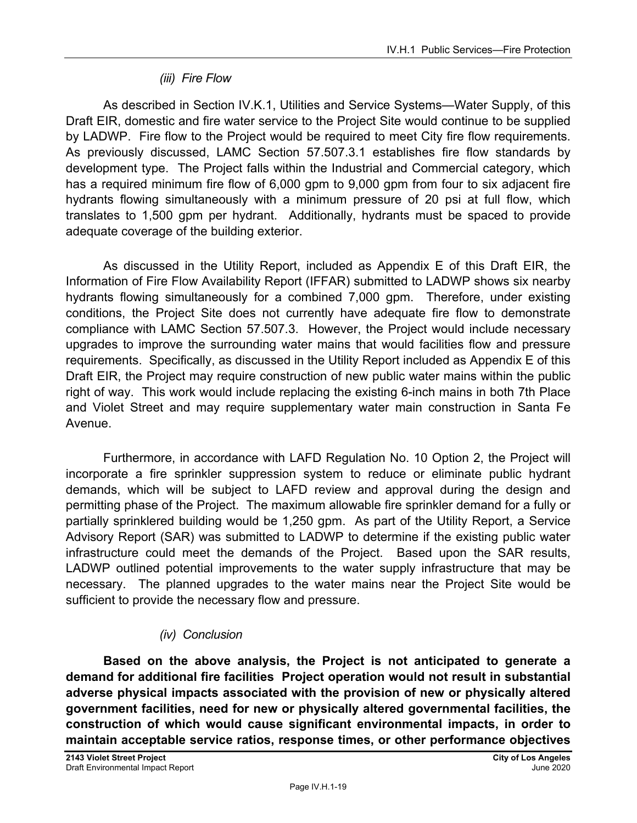#### *(iii) Fire Flow*

As described in Section IV.K.1, Utilities and Service Systems—Water Supply, of this Draft EIR, domestic and fire water service to the Project Site would continue to be supplied by LADWP. Fire flow to the Project would be required to meet City fire flow requirements. As previously discussed, LAMC Section 57.507.3.1 establishes fire flow standards by development type. The Project falls within the Industrial and Commercial category, which has a required minimum fire flow of 6,000 gpm to 9,000 gpm from four to six adjacent fire hydrants flowing simultaneously with a minimum pressure of 20 psi at full flow, which translates to 1,500 gpm per hydrant. Additionally, hydrants must be spaced to provide adequate coverage of the building exterior.

As discussed in the Utility Report, included as Appendix E of this Draft EIR, the Information of Fire Flow Availability Report (IFFAR) submitted to LADWP shows six nearby hydrants flowing simultaneously for a combined 7,000 gpm. Therefore, under existing conditions, the Project Site does not currently have adequate fire flow to demonstrate compliance with LAMC Section 57.507.3. However, the Project would include necessary upgrades to improve the surrounding water mains that would facilities flow and pressure requirements. Specifically, as discussed in the Utility Report included as Appendix E of this Draft EIR, the Project may require construction of new public water mains within the public right of way. This work would include replacing the existing 6-inch mains in both 7th Place and Violet Street and may require supplementary water main construction in Santa Fe Avenue.

Furthermore, in accordance with LAFD Regulation No. 10 Option 2, the Project will incorporate a fire sprinkler suppression system to reduce or eliminate public hydrant demands, which will be subject to LAFD review and approval during the design and permitting phase of the Project. The maximum allowable fire sprinkler demand for a fully or partially sprinklered building would be 1,250 gpm. As part of the Utility Report, a Service Advisory Report (SAR) was submitted to LADWP to determine if the existing public water infrastructure could meet the demands of the Project. Based upon the SAR results, LADWP outlined potential improvements to the water supply infrastructure that may be necessary. The planned upgrades to the water mains near the Project Site would be sufficient to provide the necessary flow and pressure.

### *(iv) Conclusion*

**Based on the above analysis, the Project is not anticipated to generate a demand for additional fire facilities Project operation would not result in substantial adverse physical impacts associated with the provision of new or physically altered government facilities, need for new or physically altered governmental facilities, the construction of which would cause significant environmental impacts, in order to maintain acceptable service ratios, response times, or other performance objectives**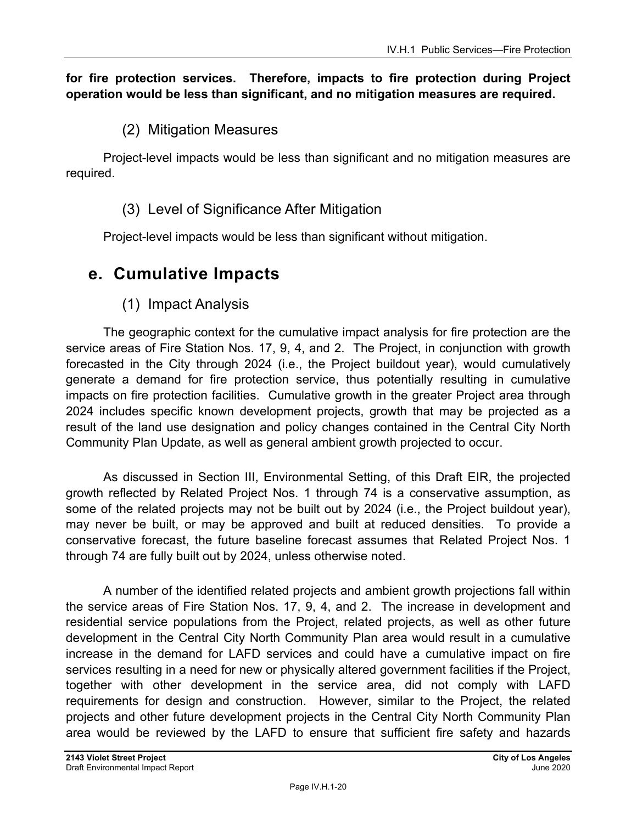#### **for fire protection services. Therefore, impacts to fire protection during Project operation would be less than significant, and no mitigation measures are required.**

### (2) Mitigation Measures

Project-level impacts would be less than significant and no mitigation measures are required.

### (3) Level of Significance After Mitigation

Project-level impacts would be less than significant without mitigation.

# **e. Cumulative Impacts**

### (1) Impact Analysis

The geographic context for the cumulative impact analysis for fire protection are the service areas of Fire Station Nos. 17, 9, 4, and 2. The Project, in conjunction with growth forecasted in the City through 2024 (i.e., the Project buildout year), would cumulatively generate a demand for fire protection service, thus potentially resulting in cumulative impacts on fire protection facilities. Cumulative growth in the greater Project area through 2024 includes specific known development projects, growth that may be projected as a result of the land use designation and policy changes contained in the Central City North Community Plan Update, as well as general ambient growth projected to occur.

As discussed in Section III, Environmental Setting, of this Draft EIR, the projected growth reflected by Related Project Nos. 1 through 74 is a conservative assumption, as some of the related projects may not be built out by 2024 (i.e., the Project buildout year), may never be built, or may be approved and built at reduced densities. To provide a conservative forecast, the future baseline forecast assumes that Related Project Nos. 1 through 74 are fully built out by 2024, unless otherwise noted.

A number of the identified related projects and ambient growth projections fall within the service areas of Fire Station Nos. 17, 9, 4, and 2. The increase in development and residential service populations from the Project, related projects, as well as other future development in the Central City North Community Plan area would result in a cumulative increase in the demand for LAFD services and could have a cumulative impact on fire services resulting in a need for new or physically altered government facilities if the Project, together with other development in the service area, did not comply with LAFD requirements for design and construction. However, similar to the Project, the related projects and other future development projects in the Central City North Community Plan area would be reviewed by the LAFD to ensure that sufficient fire safety and hazards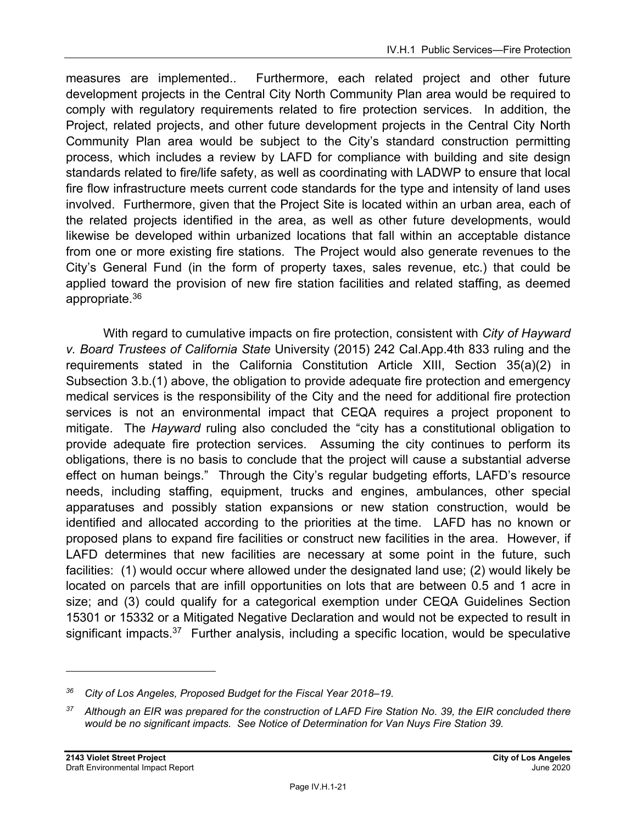measures are implemented.. Furthermore, each related project and other future development projects in the Central City North Community Plan area would be required to comply with regulatory requirements related to fire protection services. In addition, the Project, related projects, and other future development projects in the Central City North Community Plan area would be subject to the City's standard construction permitting process, which includes a review by LAFD for compliance with building and site design standards related to fire/life safety, as well as coordinating with LADWP to ensure that local fire flow infrastructure meets current code standards for the type and intensity of land uses involved. Furthermore, given that the Project Site is located within an urban area, each of the related projects identified in the area, as well as other future developments, would likewise be developed within urbanized locations that fall within an acceptable distance from one or more existing fire stations. The Project would also generate revenues to the City's General Fund (in the form of property taxes, sales revenue, etc.) that could be applied toward the provision of new fire station facilities and related staffing, as deemed appropriate.36

With regard to cumulative impacts on fire protection, consistent with *City of Hayward v. Board Trustees of California State* University (2015) 242 Cal.App.4th 833 ruling and the requirements stated in the California Constitution Article XIII, Section 35(a)(2) in Subsection 3.b.(1) above, the obligation to provide adequate fire protection and emergency medical services is the responsibility of the City and the need for additional fire protection services is not an environmental impact that CEQA requires a project proponent to mitigate. The *Hayward* ruling also concluded the "city has a constitutional obligation to provide adequate fire protection services. Assuming the city continues to perform its obligations, there is no basis to conclude that the project will cause a substantial adverse effect on human beings." Through the City's regular budgeting efforts, LAFD's resource needs, including staffing, equipment, trucks and engines, ambulances, other special apparatuses and possibly station expansions or new station construction, would be identified and allocated according to the priorities at the time. LAFD has no known or proposed plans to expand fire facilities or construct new facilities in the area. However, if LAFD determines that new facilities are necessary at some point in the future, such facilities: (1) would occur where allowed under the designated land use; (2) would likely be located on parcels that are infill opportunities on lots that are between 0.5 and 1 acre in size; and (3) could qualify for a categorical exemption under CEQA Guidelines Section 15301 or 15332 or a Mitigated Negative Declaration and would not be expected to result in significant impacts. $37$  Further analysis, including a specific location, would be speculative

*<sup>36</sup> City of Los Angeles, Proposed Budget for the Fiscal Year 2018–19.* 

*<sup>37</sup> Although an EIR was prepared for the construction of LAFD Fire Station No. 39, the EIR concluded there would be no significant impacts. See Notice of Determination for Van Nuys Fire Station 39.*